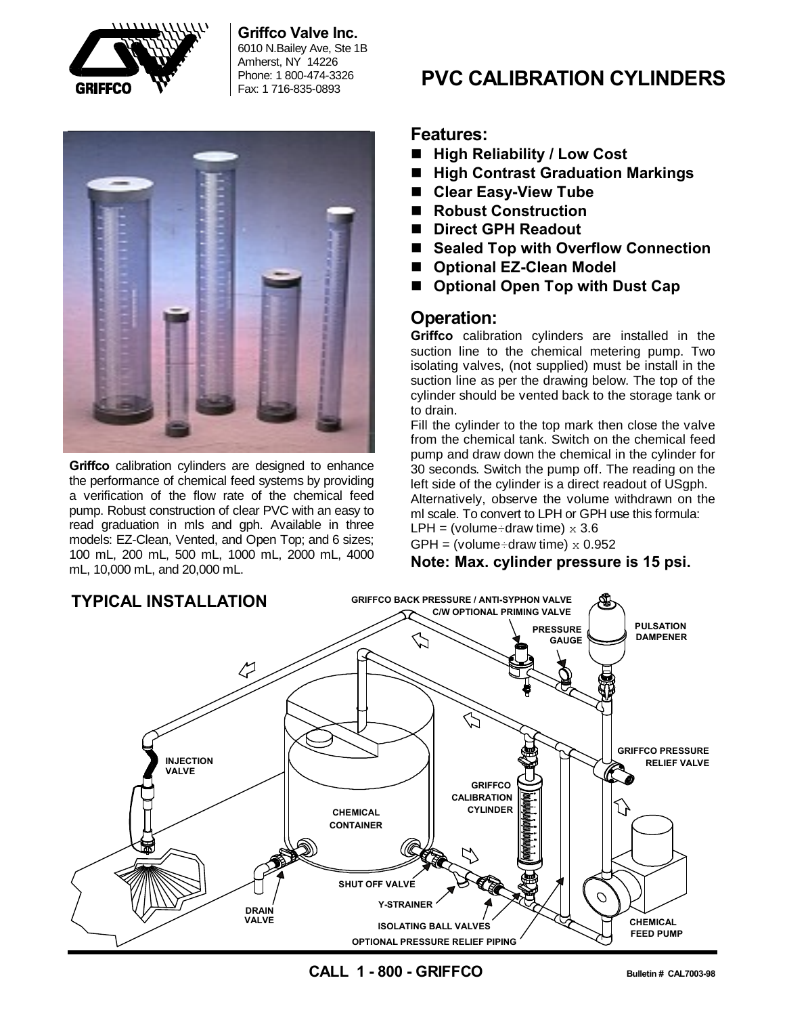

## **Griffco Valve Inc.**

6010 N.Bailey Ave, Ste 1B Amherst, NY 14226 Phone: 1 800-474-3326



**Griffco** calibration cylinders are designed to enhance the performance of chemical feed systems by providing a verification of the flow rate of the chemical feed pump. Robust construction of clear PVC with an easy to read graduation in mls and gph. Available in three models: EZ-Clean, Vented, and Open Top; and 6 sizes; 100 mL, 200 mL, 500 mL, 1000 mL, 2000 mL, 4000 mL, 10,000 mL, and 20,000 mL.

# Phone: 1 800-474-3326 **PVC CALIBRATION CYLINDERS**

## **Features:**

- High Reliability / Low Cost
- High Contrast Graduation Markings
- Clear Easy-View Tube
- Robust Construction
- Direct GPH Readout
- Sealed Top with Overflow Connection
- Optional EZ-Clean Model
- Optional Open Top with Dust Cap

## **Operation:**

**Griffco** calibration cylinders are installed in the suction line to the chemical metering pump. Two isolating valves, (not supplied) must be install in the suction line as per the drawing below. The top of the cylinder should be vented back to the storage tank or to drain.

Fill the cylinder to the top mark then close the valve from the chemical tank. Switch on the chemical feed pump and draw down the chemical in the cylinder for 30 seconds. Switch the pump off. The reading on the left side of the cylinder is a direct readout of USgph. Alternatively, observe the volume withdrawn on the ml scale. To convert to LPH or GPH use this formula: LPH = (volume÷draw time)  $\times$  3.6

GPH = (volume÷draw time)  $\times$  0.952

**Note: Max. cylinder pressure is 15 psi.**



**CALL 1 - 800 - GRIFFCO Bulletin # CAL7003-98**